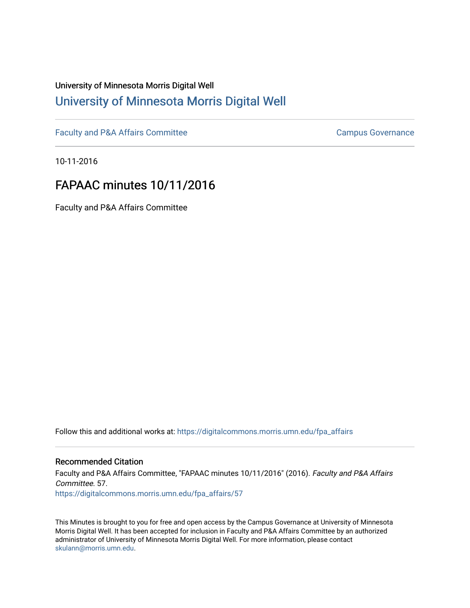## University of Minnesota Morris Digital Well [University of Minnesota Morris Digital Well](https://digitalcommons.morris.umn.edu/)

[Faculty and P&A Affairs Committee](https://digitalcommons.morris.umn.edu/fpa_affairs) [Campus Governance](https://digitalcommons.morris.umn.edu/campgov) Campus Governance

10-11-2016

# FAPAAC minutes 10/11/2016

Faculty and P&A Affairs Committee

Follow this and additional works at: [https://digitalcommons.morris.umn.edu/fpa\\_affairs](https://digitalcommons.morris.umn.edu/fpa_affairs?utm_source=digitalcommons.morris.umn.edu%2Ffpa_affairs%2F57&utm_medium=PDF&utm_campaign=PDFCoverPages)

## Recommended Citation

Faculty and P&A Affairs Committee, "FAPAAC minutes 10/11/2016" (2016). Faculty and P&A Affairs Committee. 57. [https://digitalcommons.morris.umn.edu/fpa\\_affairs/57](https://digitalcommons.morris.umn.edu/fpa_affairs/57?utm_source=digitalcommons.morris.umn.edu%2Ffpa_affairs%2F57&utm_medium=PDF&utm_campaign=PDFCoverPages) 

This Minutes is brought to you for free and open access by the Campus Governance at University of Minnesota Morris Digital Well. It has been accepted for inclusion in Faculty and P&A Affairs Committee by an authorized administrator of University of Minnesota Morris Digital Well. For more information, please contact [skulann@morris.umn.edu.](mailto:skulann@morris.umn.edu)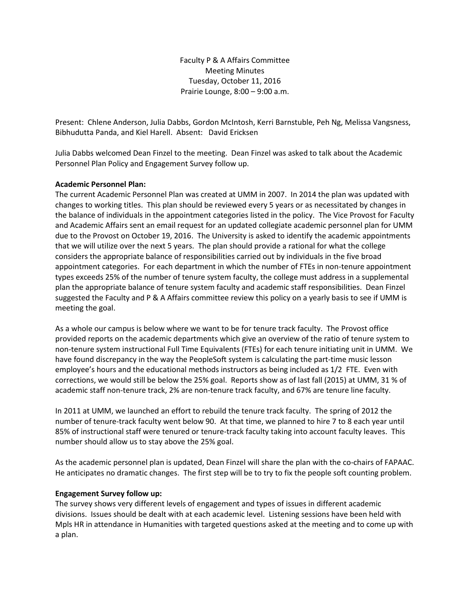Faculty P & A Affairs Committee Meeting Minutes Tuesday, October 11, 2016 Prairie Lounge, 8:00 – 9:00 a.m.

Present: Chlene Anderson, Julia Dabbs, Gordon McIntosh, Kerri Barnstuble, Peh Ng, Melissa Vangsness, Bibhudutta Panda, and Kiel Harell. Absent: David Ericksen

Julia Dabbs welcomed Dean Finzel to the meeting. Dean Finzel was asked to talk about the Academic Personnel Plan Policy and Engagement Survey follow up.

### **Academic Personnel Plan:**

The current Academic Personnel Plan was created at UMM in 2007. In 2014 the plan was updated with changes to working titles. This plan should be reviewed every 5 years or as necessitated by changes in the balance of individuals in the appointment categories listed in the policy. The Vice Provost for Faculty and Academic Affairs sent an email request for an updated collegiate academic personnel plan for UMM due to the Provost on October 19, 2016. The University is asked to identify the academic appointments that we will utilize over the next 5 years. The plan should provide a rational for what the college considers the appropriate balance of responsibilities carried out by individuals in the five broad appointment categories. For each department in which the number of FTEs in non-tenure appointment types exceeds 25% of the number of tenure system faculty, the college must address in a supplemental plan the appropriate balance of tenure system faculty and academic staff responsibilities. Dean Finzel suggested the Faculty and P & A Affairs committee review this policy on a yearly basis to see if UMM is meeting the goal.

As a whole our campus is below where we want to be for tenure track faculty. The Provost office provided reports on the academic departments which give an overview of the ratio of tenure system to non-tenure system instructional Full Time Equivalents (FTEs) for each tenure initiating unit in UMM. We have found discrepancy in the way the PeopleSoft system is calculating the part-time music lesson employee's hours and the educational methods instructors as being included as 1/2 FTE. Even with corrections, we would still be below the 25% goal. Reports show as of last fall (2015) at UMM, 31 % of academic staff non-tenure track, 2% are non-tenure track faculty, and 67% are tenure line faculty.

In 2011 at UMM, we launched an effort to rebuild the tenure track faculty. The spring of 2012 the number of tenure-track faculty went below 90. At that time, we planned to hire 7 to 8 each year until 85% of instructional staff were tenured or tenure-track faculty taking into account faculty leaves. This number should allow us to stay above the 25% goal.

As the academic personnel plan is updated, Dean Finzel will share the plan with the co-chairs of FAPAAC. He anticipates no dramatic changes. The first step will be to try to fix the people soft counting problem.

#### **Engagement Survey follow up:**

The survey shows very different levels of engagement and types of issues in different academic divisions. Issues should be dealt with at each academic level. Listening sessions have been held with Mpls HR in attendance in Humanities with targeted questions asked at the meeting and to come up with a plan.